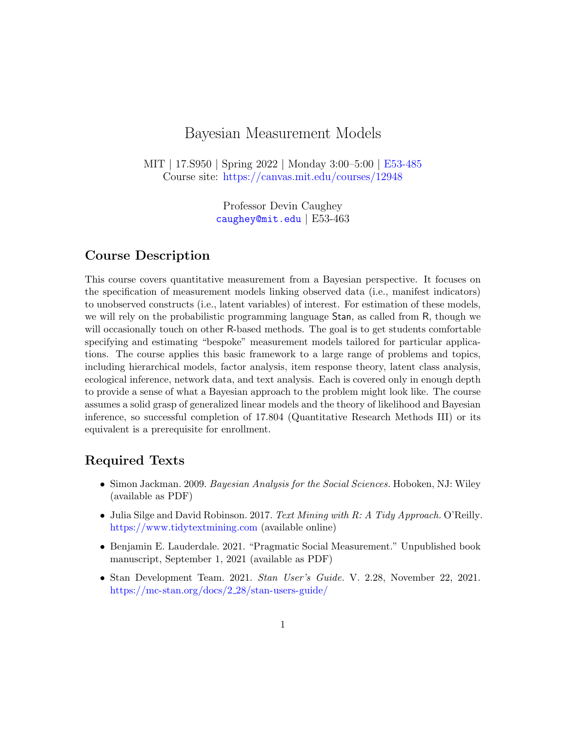# Bayesian Measurement Models

MIT | 17.S950 | Spring 2022 | Monday 3:00–5:00 | [E53-485](http://whereis.mit.edu/?mapterms=E53) Course site: <https://canvas.mit.edu/courses/12948>

> Professor Devin Caughey [caughey@mit.edu](mailto:caughey@mit.edu) | E53-463

# Course Description

This course covers quantitative measurement from a Bayesian perspective. It focuses on the specification of measurement models linking observed data (i.e., manifest indicators) to unobserved constructs (i.e., latent variables) of interest. For estimation of these models, we will rely on the probabilistic programming language Stan, as called from R, though we will occasionally touch on other R-based methods. The goal is to get students comfortable specifying and estimating "bespoke" measurement models tailored for particular applications. The course applies this basic framework to a large range of problems and topics, including hierarchical models, factor analysis, item response theory, latent class analysis, ecological inference, network data, and text analysis. Each is covered only in enough depth to provide a sense of what a Bayesian approach to the problem might look like. The course assumes a solid grasp of generalized linear models and the theory of likelihood and Bayesian inference, so successful completion of 17.804 (Quantitative Research Methods III) or its equivalent is a prerequisite for enrollment.

## Required Texts

- Simon Jackman. 2009. Bayesian Analysis for the Social Sciences. Hoboken, NJ: Wiley (available as PDF)
- Julia Silge and David Robinson. 2017. Text Mining with R: A Tidy Approach. O'Reilly. <https://www.tidytextmining.com> (available online)
- Benjamin E. Lauderdale. 2021. "Pragmatic Social Measurement." Unpublished book manuscript, September 1, 2021 (available as PDF)
- Stan Development Team. 2021. Stan User's Guide. V. 2.28, November 22, 2021. [https://mc-stan.org/docs/2](https://mc-stan.org/docs/2_28/stan-users-guide/) 28/stan-users-guide/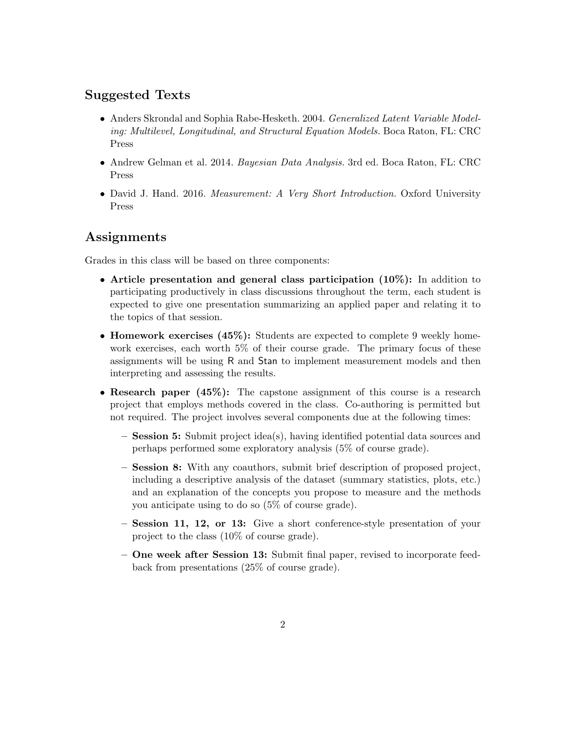# Suggested Texts

- Anders Skrondal and Sophia Rabe-Hesketh. 2004. Generalized Latent Variable Modeling: Multilevel, Longitudinal, and Structural Equation Models. Boca Raton, FL: CRC Press
- Andrew Gelman et al. 2014. Bayesian Data Analysis. 3rd ed. Boca Raton, FL: CRC Press
- David J. Hand. 2016. Measurement: A Very Short Introduction. Oxford University Press

## Assignments

Grades in this class will be based on three components:

- Article presentation and general class participation (10%): In addition to participating productively in class discussions throughout the term, each student is expected to give one presentation summarizing an applied paper and relating it to the topics of that session.
- Homework exercises (45%): Students are expected to complete 9 weekly homework exercises, each worth 5% of their course grade. The primary focus of these assignments will be using R and Stan to implement measurement models and then interpreting and assessing the results.
- Research paper (45%): The capstone assignment of this course is a research project that employs methods covered in the class. Co-authoring is permitted but not required. The project involves several components due at the following times:
	- Session 5: Submit project idea(s), having identified potential data sources and perhaps performed some exploratory analysis (5% of course grade).
	- Session 8: With any coauthors, submit brief description of proposed project, including a descriptive analysis of the dataset (summary statistics, plots, etc.) and an explanation of the concepts you propose to measure and the methods you anticipate using to do so (5% of course grade).
	- Session 11, 12, or 13: Give a short conference-style presentation of your project to the class (10% of course grade).
	- One week after Session 13: Submit final paper, revised to incorporate feedback from presentations (25% of course grade).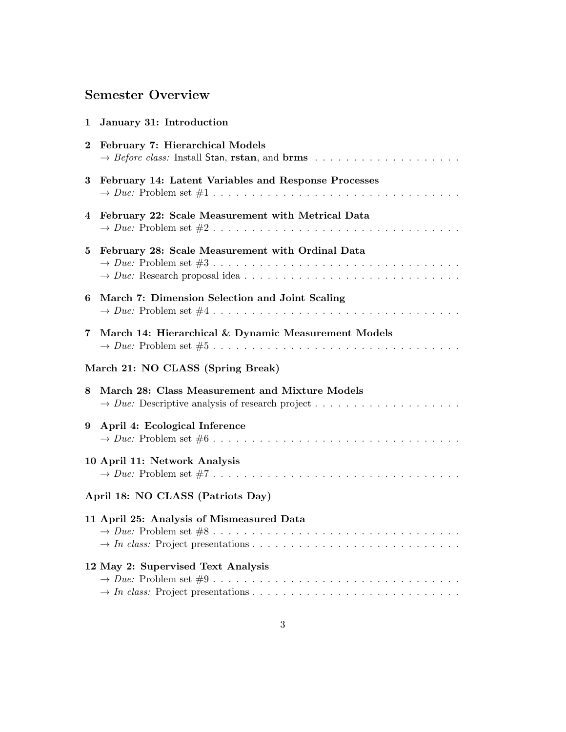# Semester Overview

| 1                                 | January 31: Introduction                                                              |
|-----------------------------------|---------------------------------------------------------------------------------------|
| $\bf{2}$                          | February 7: Hierarchical Models                                                       |
| 3                                 | February 14: Latent Variables and Response Processes                                  |
| 4                                 | February 22: Scale Measurement with Metrical Data                                     |
| 5                                 | February 28: Scale Measurement with Ordinal Data<br>$\rightarrow Due: Problem set #3$ |
| 6                                 | March 7: Dimension Selection and Joint Scaling                                        |
| 7                                 | March 14: Hierarchical & Dynamic Measurement Models                                   |
| March 21: NO CLASS (Spring Break) |                                                                                       |
| 8                                 | March 28: Class Measurement and Mixture Models                                        |
| 9                                 | April 4: Ecological Inference                                                         |
|                                   | 10 April 11: Network Analysis                                                         |
| April 18: NO CLASS (Patriots Day) |                                                                                       |
|                                   | 11 April 25: Analysis of Mismeasured Data<br>$\rightarrow Due: Problem set #8$        |
|                                   | 12 May 2: Supervised Text Analysis                                                    |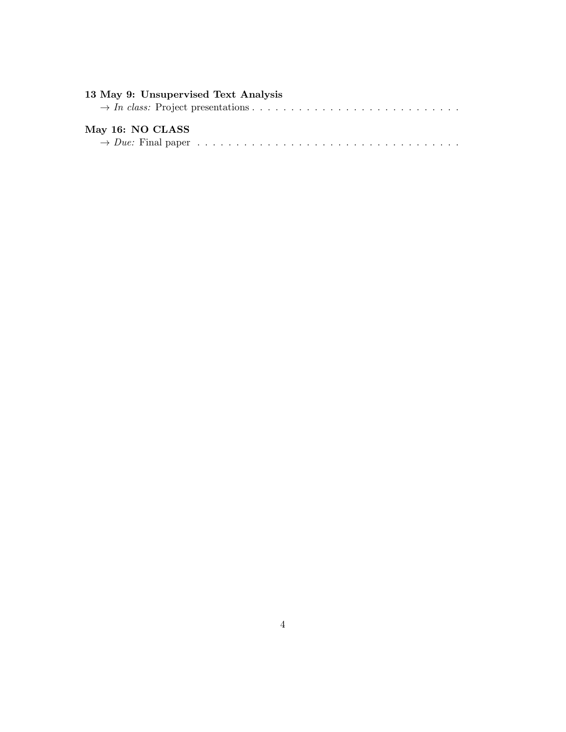| 13 May 9: Unsupervised Text Analysis |
|--------------------------------------|
|                                      |
|                                      |
| May 16: NO CLASS                     |
|                                      |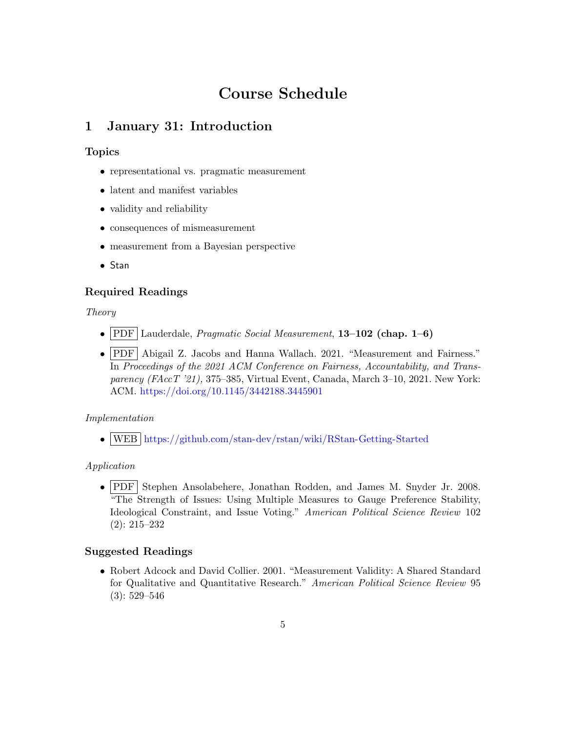# Course Schedule

# <span id="page-4-0"></span>1 January 31: Introduction

### Topics

- representational vs. pragmatic measurement
- latent and manifest variables
- validity and reliability
- consequences of mismeasurement
- measurement from a Bayesian perspective
- Stan

### Required Readings

Theory

- PDF Lauderdale, *Pragmatic Social Measurement*, 13–102 (chap. 1–6)
- PDF Abigail Z. Jacobs and Hanna Wallach. 2021. "Measurement and Fairness." In Proceedings of the 2021 ACM Conference on Fairness, Accountability, and Transparency (FAccT '21), 375–385, Virtual Event, Canada, March 3–10, 2021. New York: ACM. <https://doi.org/10.1145/3442188.3445901>

### Implementation

• WEB <https://github.com/stan-dev/rstan/wiki/RStan-Getting-Started>

### Application

• PDF Stephen Ansolabehere, Jonathan Rodden, and James M. Snyder Jr. 2008. "The Strength of Issues: Using Multiple Measures to Gauge Preference Stability, Ideological Constraint, and Issue Voting." American Political Science Review 102 (2): 215–232

### Suggested Readings

• Robert Adcock and David Collier. 2001. "Measurement Validity: A Shared Standard for Qualitative and Quantitative Research." American Political Science Review 95 (3): 529–546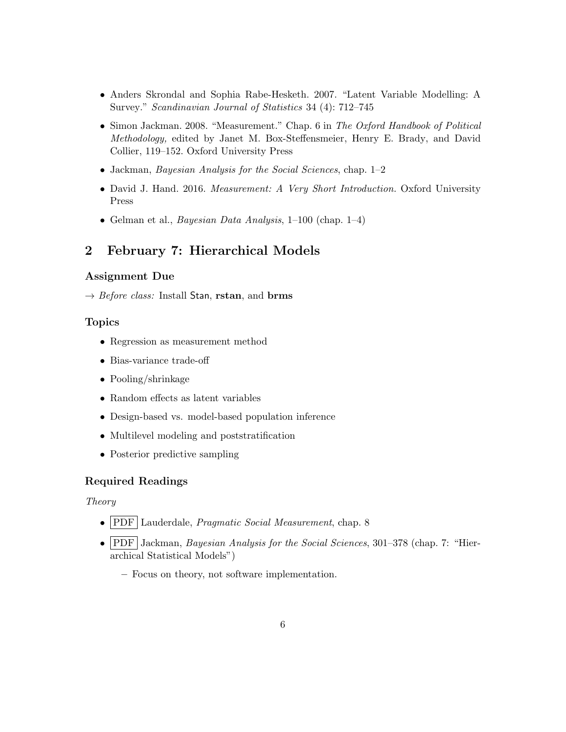- Anders Skrondal and Sophia Rabe-Hesketh. 2007. "Latent Variable Modelling: A Survey." Scandinavian Journal of Statistics 34 (4): 712–745
- Simon Jackman. 2008. "Measurement." Chap. 6 in The Oxford Handbook of Political Methodology, edited by Janet M. Box-Steffensmeier, Henry E. Brady, and David Collier, 119–152. Oxford University Press
- Jackman, Bayesian Analysis for the Social Sciences, chap. 1–2
- David J. Hand. 2016. Measurement: A Very Short Introduction. Oxford University Press
- <span id="page-5-0"></span>• Gelman et al., *Bayesian Data Analysis*,  $1\n-100$  (chap.  $1\n-4$ )

# 2 February 7: Hierarchical Models

#### Assignment Due

 $\rightarrow$  *Before class:* Install Stan, rstan, and brms

#### Topics

- <span id="page-5-1"></span>• Regression as measurement method
- Bias-variance trade-off
- Pooling/shrinkage
- Random effects as latent variables
- Design-based vs. model-based population inference
- Multilevel modeling and poststratification
- Posterior predictive sampling

#### Required Readings

#### Theory

- PDF Lauderdale, *Pragmatic Social Measurement*, chap. 8
- PDF Jackman, Bayesian Analysis for the Social Sciences, 301–378 (chap. 7: "Hierarchical Statistical Models")
	- Focus on theory, not software implementation.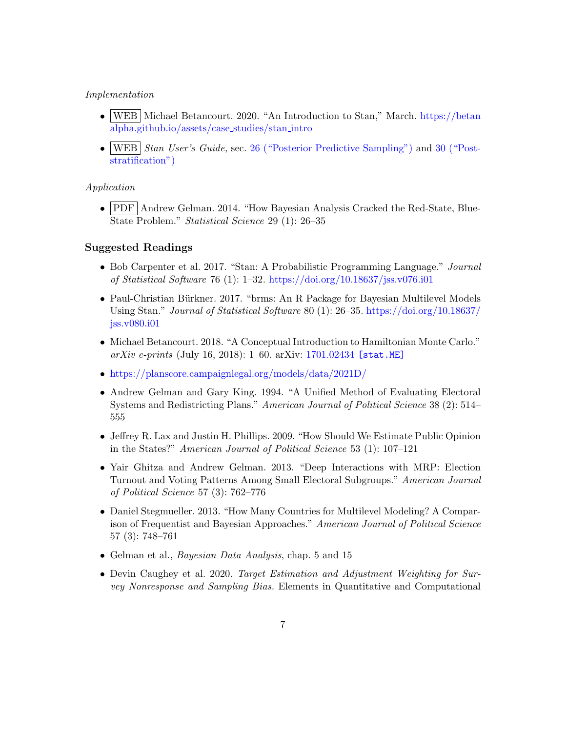#### Implementation

- WEB Michael Betancourt. 2020. "An Introduction to Stan," March. [https://betan](https://betanalpha.github.io/assets/case_studies/stan_intro) [alpha.github.io/assets/case](https://betanalpha.github.io/assets/case_studies/stan_intro) studies/stan intro
- WEB *Stan User's Guide*, sec. [26 \("Posterior Predictive Sampling"\)](https://mc-stan.org/docs/2_28/stan-users-guide/posterior-prediction.html) and [30 \("Post](https://mc-stan.org/docs/2_28/stan-users-guide/poststratification.html)[stratification"\)](https://mc-stan.org/docs/2_28/stan-users-guide/poststratification.html)

#### Application

• PDF Andrew Gelman. 2014. "How Bayesian Analysis Cracked the Red-State, Blue-State Problem." Statistical Science 29 (1): 26–35

- Bob Carpenter et al. 2017. "Stan: A Probabilistic Programming Language." Journal of Statistical Software 76 (1): 1–32. <https://doi.org/10.18637/jss.v076.i01>
- Paul-Christian Bürkner. 2017. "brms: An R Package for Bayesian Multilevel Models Using Stan." Journal of Statistical Software 80 (1): 26–35. [https://doi.org/10.18637/](https://doi.org/10.18637/jss.v080.i01) [jss.v080.i01](https://doi.org/10.18637/jss.v080.i01)
- Michael Betancourt. 2018. "A Conceptual Introduction to Hamiltonian Monte Carlo."  $arXiv \text{ } e\text{-}prints \text{ (July 16, 2018): } 1-60. \text{ } arXiv: 1701.02434 \text{ [stat.ME]}$  $arXiv \text{ } e\text{-}prints \text{ (July 16, 2018): } 1-60. \text{ } arXiv: 1701.02434 \text{ [stat.ME]}$  $arXiv \text{ } e\text{-}prints \text{ (July 16, 2018): } 1-60. \text{ } arXiv: 1701.02434 \text{ [stat.ME]}$
- <https://planscore.campaignlegal.org/models/data/2021D/>
- Andrew Gelman and Gary King. 1994. "A Unified Method of Evaluating Electoral Systems and Redistricting Plans." American Journal of Political Science 38 (2): 514– 555
- Jeffrey R. Lax and Justin H. Phillips. 2009. "How Should We Estimate Public Opinion in the States?" American Journal of Political Science 53 (1): 107–121
- Yair Ghitza and Andrew Gelman. 2013. "Deep Interactions with MRP: Election Turnout and Voting Patterns Among Small Electoral Subgroups." American Journal of Political Science 57 (3): 762–776
- Daniel Stegmueller. 2013. "How Many Countries for Multilevel Modeling? A Comparison of Frequentist and Bayesian Approaches." American Journal of Political Science 57 (3): 748–761
- Gelman et al., *Bayesian Data Analysis*, chap. 5 and 15
- Devin Caughey et al. 2020. Target Estimation and Adjustment Weighting for Survey Nonresponse and Sampling Bias. Elements in Quantitative and Computational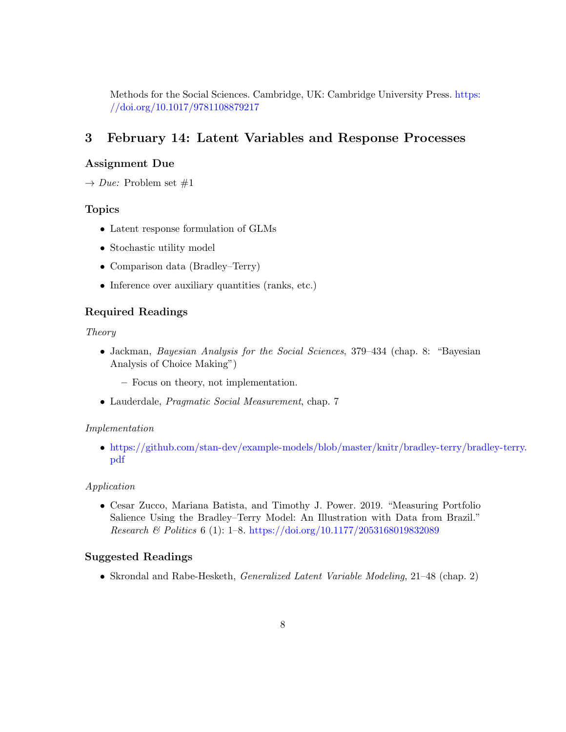Methods for the Social Sciences. Cambridge, UK: Cambridge University Press. [https:](https://doi.org/10.1017/9781108879217) [//doi.org/10.1017/9781108879217](https://doi.org/10.1017/9781108879217)

# <span id="page-7-0"></span>3 February 14: Latent Variables and Response Processes

### Assignment Due

 $\rightarrow Due:$  Problem set #1

#### Topics

- <span id="page-7-1"></span>• Latent response formulation of GLMs
- Stochastic utility model
- Comparison data (Bradley–Terry)
- Inference over auxiliary quantities (ranks, etc.)

### Required Readings

#### Theory

- Jackman, Bayesian Analysis for the Social Sciences, 379–434 (chap. 8: "Bayesian Analysis of Choice Making")
	- Focus on theory, not implementation.
- Lauderdale, Pragmatic Social Measurement, chap. 7

#### Implementation

• [https://github.com/stan-dev/example-models/blob/master/knitr/bradley-terry/brad](https://github.com/stan-dev/example-models/blob/master/knitr/bradley-terry/bradley-terry.pdf)ley-terry. [pdf](https://github.com/stan-dev/example-models/blob/master/knitr/bradley-terry/bradley-terry.pdf)

#### Application

• Cesar Zucco, Mariana Batista, and Timothy J. Power. 2019. "Measuring Portfolio Salience Using the Bradley–Terry Model: An Illustration with Data from Brazil." Research & Politics 6 (1): 1–8. <https://doi.org/10.1177/2053168019832089>

#### Suggested Readings

• Skrondal and Rabe-Hesketh, Generalized Latent Variable Modeling, 21–48 (chap. 2)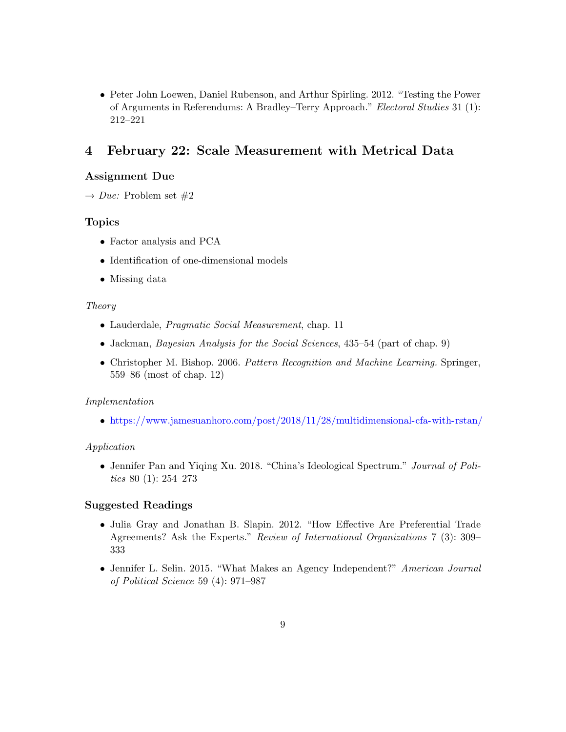• Peter John Loewen, Daniel Rubenson, and Arthur Spirling. 2012. "Testing the Power of Arguments in Referendums: A Bradley–Terry Approach." Electoral Studies 31 (1): 212–221

# <span id="page-8-0"></span>4 February 22: Scale Measurement with Metrical Data

#### Assignment Due

 $\rightarrow Due:$  Problem set  $\#2$ 

#### Topics

- <span id="page-8-1"></span>• Factor analysis and PCA
- Identification of one-dimensional models
- Missing data

#### Theory

- Lauderdale, Pragmatic Social Measurement, chap. 11
- Jackman, *Bayesian Analysis for the Social Sciences*, 435–54 (part of chap. 9)
- Christopher M. Bishop. 2006. Pattern Recognition and Machine Learning. Springer, 559–86 (most of chap. 12)

#### Implementation

• <https://www.jamesuanhoro.com/post/2018/11/28/multidimensional-cfa-with-rstan/>

#### Application

• Jennifer Pan and Yiqing Xu. 2018. "China's Ideological Spectrum." Journal of Politics 80 (1): 254–273

- Julia Gray and Jonathan B. Slapin. 2012. "How Effective Are Preferential Trade Agreements? Ask the Experts." Review of International Organizations 7 (3): 309– 333
- <span id="page-8-2"></span>• Jennifer L. Selin. 2015. "What Makes an Agency Independent?" American Journal of Political Science 59 (4): 971–987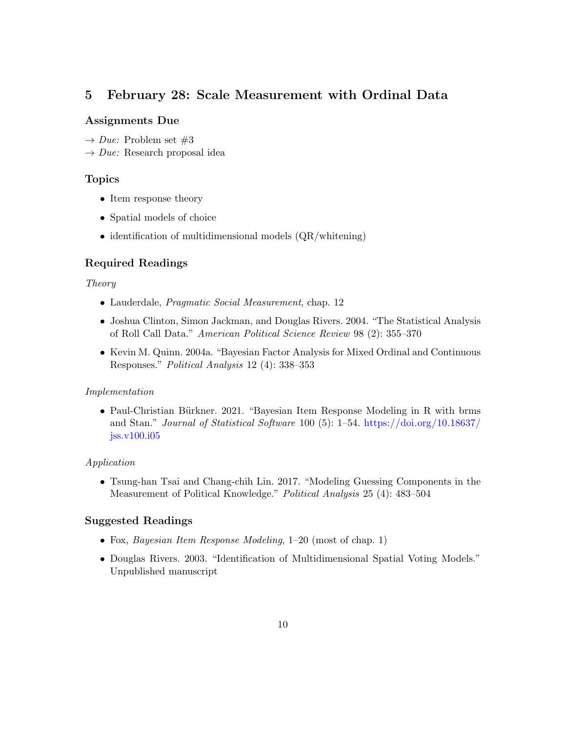# 5 February 28: Scale Measurement with Ordinal Data

#### Assignments Due

<span id="page-9-0"></span> $\rightarrow Due:$  Problem set #3

 $\rightarrow Due: Research proposal idea$ 

#### Topics

- Item response theory
- Spatial models of choice
- identification of multidimensional models (QR/whitening)

### Required Readings

#### Theory

- Lauderdale, *Pragmatic Social Measurement*, chap. 12
- Joshua Clinton, Simon Jackman, and Douglas Rivers. 2004. "The Statistical Analysis of Roll Call Data." American Political Science Review 98 (2): 355–370
- Kevin M. Quinn. 2004a. "Bayesian Factor Analysis for Mixed Ordinal and Continuous Responses." Political Analysis 12 (4): 338–353

#### Implementation

• Paul-Christian Bürkner. 2021. "Bayesian Item Response Modeling in R with brms and Stan." Journal of Statistical Software 100 (5): 1–54. [https://doi.org/10.18637/](https://doi.org/10.18637/jss.v100.i05) [jss.v100.i05](https://doi.org/10.18637/jss.v100.i05)

#### Application

• Tsung-han Tsai and Chang-chih Lin. 2017. "Modeling Guessing Components in the Measurement of Political Knowledge." Political Analysis 25 (4): 483–504

- Fox, Bayesian Item Response Modeling, 1–20 (most of chap. 1)
- Douglas Rivers. 2003. "Identification of Multidimensional Spatial Voting Models." Unpublished manuscript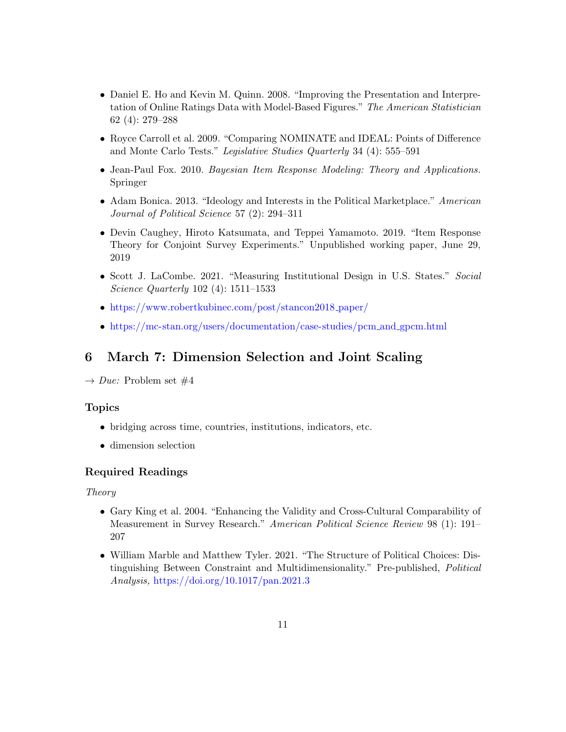- Daniel E. Ho and Kevin M. Quinn. 2008. "Improving the Presentation and Interpretation of Online Ratings Data with Model-Based Figures." The American Statistician 62 (4): 279–288
- Royce Carroll et al. 2009. "Comparing NOMINATE and IDEAL: Points of Difference and Monte Carlo Tests." Legislative Studies Quarterly 34 (4): 555–591
- Jean-Paul Fox. 2010. Bayesian Item Response Modeling: Theory and Applications. Springer
- Adam Bonica. 2013. "Ideology and Interests in the Political Marketplace." American Journal of Political Science 57 (2): 294–311
- Devin Caughey, Hiroto Katsumata, and Teppei Yamamoto. 2019. "Item Response Theory for Conjoint Survey Experiments." Unpublished working paper, June 29, 2019
- Scott J. LaCombe. 2021. "Measuring Institutional Design in U.S. States." Social Science Quarterly 102 (4): 1511–1533
- [https://www.robertkubinec.com/post/stancon2018](https://www.robertkubinec.com/post/stancon2018_paper/)\_paper/
- <span id="page-10-1"></span><span id="page-10-0"></span>• [https://mc-stan.org/users/documentation/case-studies/pcm](https://mc-stan.org/users/documentation/case-studies/pcm_and_gpcm.html)\_and\_gpcm.html

### 6 March 7: Dimension Selection and Joint Scaling

 $\rightarrow Due:$  Problem set #4

#### Topics

- bridging across time, countries, institutions, indicators, etc.
- dimension selection

### Required Readings

Theory

- Gary King et al. 2004. "Enhancing the Validity and Cross-Cultural Comparability of Measurement in Survey Research." American Political Science Review 98 (1): 191– 207
- William Marble and Matthew Tyler. 2021. "The Structure of Political Choices: Distinguishing Between Constraint and Multidimensionality." Pre-published, Political Analysis, <https://doi.org/10.1017/pan.2021.3>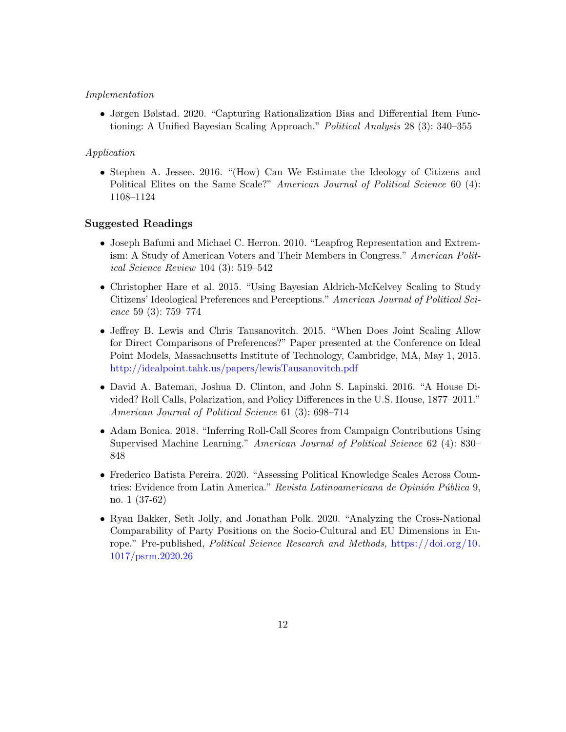#### Implementation

• Jørgen Bølstad. 2020. "Capturing Rationalization Bias and Differential Item Functioning: A Unified Bayesian Scaling Approach." Political Analysis 28 (3): 340–355

#### Application

• Stephen A. Jessee. 2016. "(How) Can We Estimate the Ideology of Citizens and Political Elites on the Same Scale?" American Journal of Political Science 60 (4): 1108–1124

- Joseph Bafumi and Michael C. Herron. 2010. "Leapfrog Representation and Extremism: A Study of American Voters and Their Members in Congress." American Political Science Review 104 (3): 519–542
- Christopher Hare et al. 2015. "Using Bayesian Aldrich-McKelvey Scaling to Study Citizens' Ideological Preferences and Perceptions." American Journal of Political Science 59 (3): 759–774
- Jeffrey B. Lewis and Chris Tausanovitch. 2015. "When Does Joint Scaling Allow for Direct Comparisons of Preferences?" Paper presented at the Conference on Ideal Point Models, Massachusetts Institute of Technology, Cambridge, MA, May 1, 2015. <http://idealpoint.tahk.us/papers/lewisTausanovitch.pdf>
- David A. Bateman, Joshua D. Clinton, and John S. Lapinski. 2016. "A House Divided? Roll Calls, Polarization, and Policy Differences in the U.S. House, 1877–2011." American Journal of Political Science 61 (3): 698–714
- Adam Bonica. 2018. "Inferring Roll-Call Scores from Campaign Contributions Using Supervised Machine Learning." American Journal of Political Science 62 (4): 830– 848
- Frederico Batista Pereira. 2020. "Assessing Political Knowledge Scales Across Countries: Evidence from Latin America." Revista Latinoamericana de Opinión Pública 9, no. 1 (37-62)
- <span id="page-11-0"></span>• Ryan Bakker, Seth Jolly, and Jonathan Polk. 2020. "Analyzing the Cross-National Comparability of Party Positions on the Socio-Cultural and EU Dimensions in Europe." Pre-published, Political Science Research and Methods, [https://doi.org/10.](https://doi.org/10.1017/psrm.2020.26) [1017/psrm.2020.26](https://doi.org/10.1017/psrm.2020.26)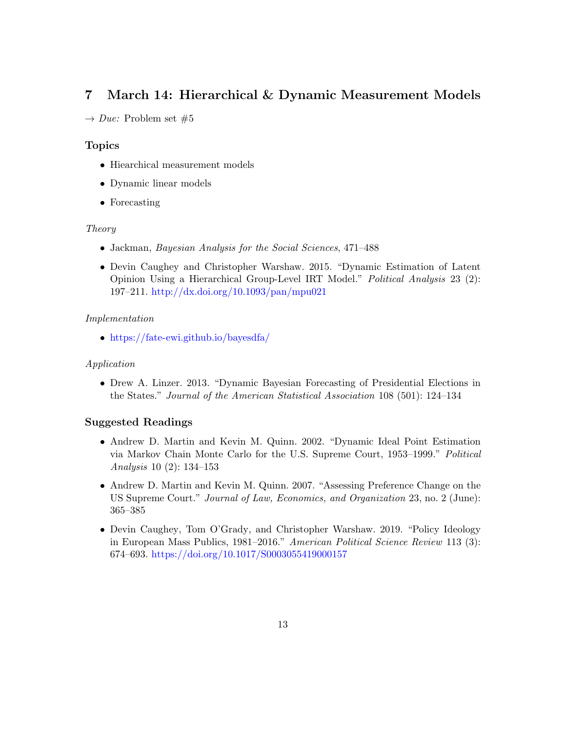# 7 March 14: Hierarchical & Dynamic Measurement Models

 $\rightarrow Due:$  Problem set #5

### Topics

- <span id="page-12-0"></span>• Hiearchical measurement models
- Dynamic linear models
- Forecasting

#### Theory

- Jackman, Bayesian Analysis for the Social Sciences, 471–488
- Devin Caughey and Christopher Warshaw. 2015. "Dynamic Estimation of Latent Opinion Using a Hierarchical Group-Level IRT Model." Political Analysis 23 (2): 197–211. <http://dx.doi.org/10.1093/pan/mpu021>

#### Implementation

• <https://fate-ewi.github.io/bayesdfa/>

#### Application

• Drew A. Linzer. 2013. "Dynamic Bayesian Forecasting of Presidential Elections in the States." Journal of the American Statistical Association 108 (501): 124–134

- Andrew D. Martin and Kevin M. Quinn. 2002. "Dynamic Ideal Point Estimation via Markov Chain Monte Carlo for the U.S. Supreme Court, 1953–1999." Political Analysis 10 (2): 134–153
- Andrew D. Martin and Kevin M. Quinn. 2007. "Assessing Preference Change on the US Supreme Court." Journal of Law, Economics, and Organization 23, no. 2 (June): 365–385
- Devin Caughey, Tom O'Grady, and Christopher Warshaw. 2019. "Policy Ideology in European Mass Publics, 1981–2016." American Political Science Review 113 (3): 674–693. <https://doi.org/10.1017/S0003055419000157>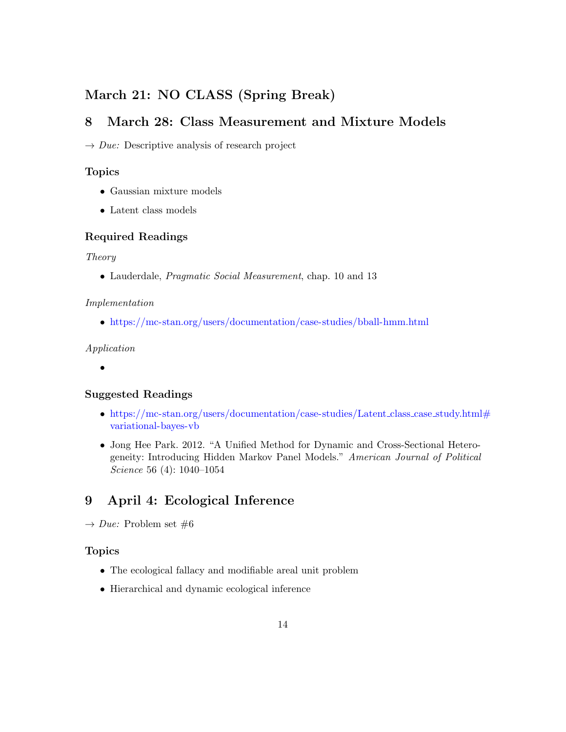# March 21: NO CLASS (Spring Break)

# <span id="page-13-0"></span>8 March 28: Class Measurement and Mixture Models

 $\rightarrow Due:$  Descriptive analysis of research project

#### Topics

- <span id="page-13-1"></span>• Gaussian mixture models
- Latent class models

#### Required Readings

#### Theory

• Lauderdale, Pragmatic Social Measurement, chap. 10 and 13

#### Implementation

• <https://mc-stan.org/users/documentation/case-studies/bball-hmm.html>

#### Application

•

#### Suggested Readings

- [https://mc-stan.org/users/documentation/case-studies/Latent](https://mc-stan.org/users/documentation/case-studies/Latent_class_case_study.html#variational-bayes-vb)\_class\_case\_study.html# [variational-bayes-vb](https://mc-stan.org/users/documentation/case-studies/Latent_class_case_study.html#variational-bayes-vb)
- Jong Hee Park. 2012. "A Unified Method for Dynamic and Cross-Sectional Heterogeneity: Introducing Hidden Markov Panel Models." American Journal of Political Science 56 (4): 1040–1054

# <span id="page-13-2"></span>9 April 4: Ecological Inference

 $\rightarrow Due: Problem set \#6$ 

#### Topics

- <span id="page-13-3"></span>• The ecological fallacy and modifiable areal unit problem
- Hierarchical and dynamic ecological inference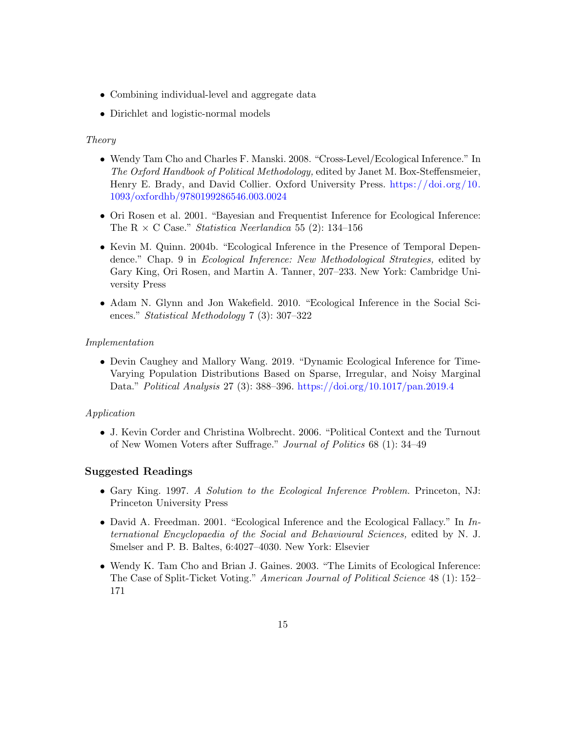- Combining individual-level and aggregate data
- Dirichlet and logistic-normal models

#### Theory

- Wendy Tam Cho and Charles F. Manski. 2008. "Cross-Level/Ecological Inference." In The Oxford Handbook of Political Methodology, edited by Janet M. Box-Steffensmeier, Henry E. Brady, and David Collier. Oxford University Press. [https://doi.org/10.](https://doi.org/10.1093/oxfordhb/9780199286546.003.0024) [1093/oxfordhb/9780199286546.003.0024](https://doi.org/10.1093/oxfordhb/9780199286546.003.0024)
- Ori Rosen et al. 2001. "Bayesian and Frequentist Inference for Ecological Inference: The R  $\times$  C Case." *Statistica Neerlandica* 55 (2): 134–156
- Kevin M. Quinn. 2004b. "Ecological Inference in the Presence of Temporal Dependence." Chap. 9 in Ecological Inference: New Methodological Strategies, edited by Gary King, Ori Rosen, and Martin A. Tanner, 207–233. New York: Cambridge University Press
- Adam N. Glynn and Jon Wakefield. 2010. "Ecological Inference in the Social Sciences." Statistical Methodology 7 (3): 307–322

#### Implementation

• Devin Caughey and Mallory Wang. 2019. "Dynamic Ecological Inference for Time-Varying Population Distributions Based on Sparse, Irregular, and Noisy Marginal Data." Political Analysis 27 (3): 388–396. <https://doi.org/10.1017/pan.2019.4>

#### Application

• J. Kevin Corder and Christina Wolbrecht. 2006. "Political Context and the Turnout of New Women Voters after Suffrage." Journal of Politics 68 (1): 34–49

- Gary King. 1997. A Solution to the Ecological Inference Problem. Princeton, NJ: Princeton University Press
- David A. Freedman. 2001. "Ecological Inference and the Ecological Fallacy." In International Encyclopaedia of the Social and Behavioural Sciences, edited by N. J. Smelser and P. B. Baltes, 6:4027–4030. New York: Elsevier
- Wendy K. Tam Cho and Brian J. Gaines. 2003. "The Limits of Ecological Inference: The Case of Split-Ticket Voting." American Journal of Political Science 48 (1): 152– 171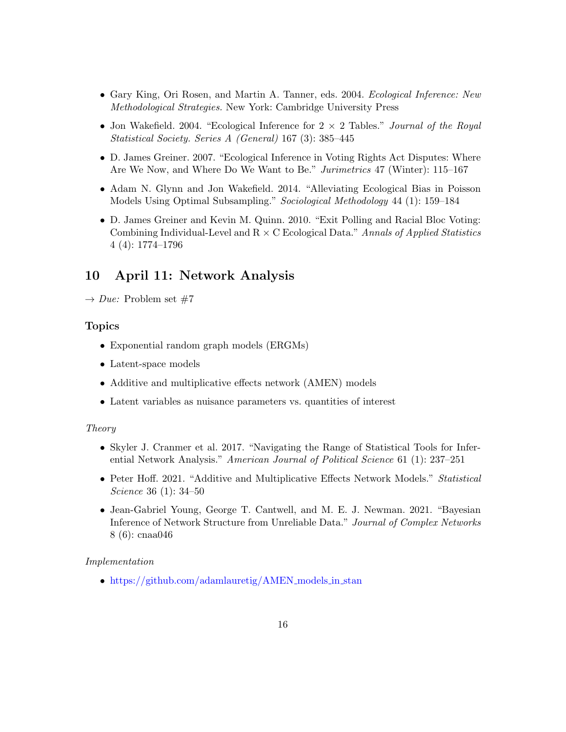- Gary King, Ori Rosen, and Martin A. Tanner, eds. 2004. Ecological Inference: New Methodological Strategies. New York: Cambridge University Press
- Jon Wakefield. 2004. "Ecological Inference for  $2 \times 2$  Tables." *Journal of the Royal* Statistical Society. Series A (General) 167 (3): 385–445
- D. James Greiner. 2007. "Ecological Inference in Voting Rights Act Disputes: Where Are We Now, and Where Do We Want to Be." Jurimetrics 47 (Winter): 115–167
- Adam N. Glynn and Jon Wakefield. 2014. "Alleviating Ecological Bias in Poisson Models Using Optimal Subsampling." Sociological Methodology 44 (1): 159–184
- D. James Greiner and Kevin M. Quinn. 2010. "Exit Polling and Racial Bloc Voting: Combining Individual-Level and  $R \times C$  Ecological Data." Annals of Applied Statistics 4 (4): 1774–1796

## <span id="page-15-0"></span>10 April 11: Network Analysis

 $\rightarrow Due:$  Problem set #7

#### Topics

- <span id="page-15-1"></span>• Exponential random graph models (ERGMs)
- Latent-space models
- Additive and multiplicative effects network (AMEN) models
- Latent variables as nuisance parameters vs. quantities of interest

#### Theory

- Skyler J. Cranmer et al. 2017. "Navigating the Range of Statistical Tools for Inferential Network Analysis." American Journal of Political Science 61 (1): 237–251
- Peter Hoff. 2021. "Additive and Multiplicative Effects Network Models." Statistical Science 36 (1): 34–50
- Jean-Gabriel Young, George T. Cantwell, and M. E. J. Newman. 2021. "Bayesian Inference of Network Structure from Unreliable Data." Journal of Complex Networks 8 (6): cnaa046

#### Implementation

• [https://github.com/adamlauretig/AMEN](https://github.com/adamlauretig/AMEN_models_in_stan)\_models\_in\_stan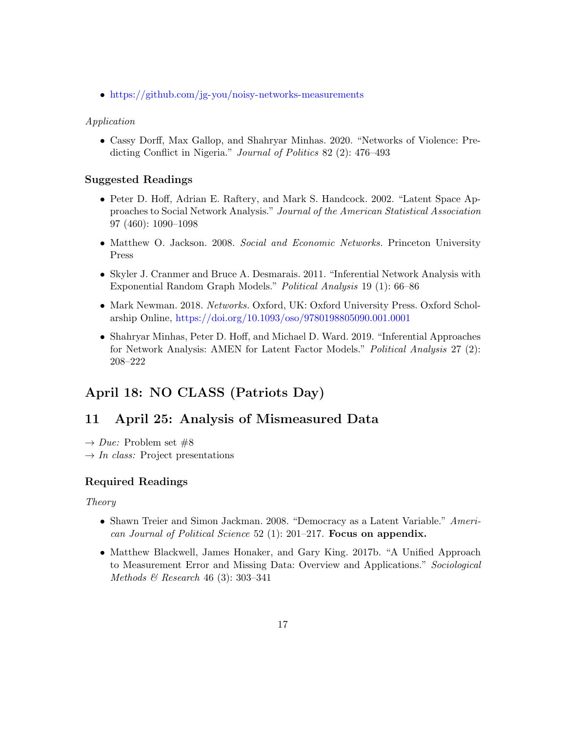• <https://github.com/jg-you/noisy-networks-measurements>

#### Application

• Cassy Dorff, Max Gallop, and Shahryar Minhas. 2020. "Networks of Violence: Predicting Conflict in Nigeria." Journal of Politics 82 (2): 476–493

#### Suggested Readings

- Peter D. Hoff, Adrian E. Raftery, and Mark S. Handcock. 2002. "Latent Space Approaches to Social Network Analysis." Journal of the American Statistical Association 97 (460): 1090–1098
- Matthew O. Jackson. 2008. Social and Economic Networks. Princeton University Press
- Skyler J. Cranmer and Bruce A. Desmarais. 2011. "Inferential Network Analysis with Exponential Random Graph Models." Political Analysis 19 (1): 66–86
- Mark Newman. 2018. Networks. Oxford, UK: Oxford University Press. Oxford Scholarship Online, <https://doi.org/10.1093/oso/9780198805090.001.0001>
- Shahryar Minhas, Peter D. Hoff, and Michael D. Ward. 2019. "Inferential Approaches for Network Analysis: AMEN for Latent Factor Models." Political Analysis 27 (2): 208–222

# April 18: NO CLASS (Patriots Day)

## <span id="page-16-0"></span>11 April 25: Analysis of Mismeasured Data

<span id="page-16-1"></span> $\rightarrow Due:$  Problem set #8

 $\rightarrow$  In class: Project presentations

#### Required Readings

#### Theory

- Shawn Treier and Simon Jackman. 2008. "Democracy as a Latent Variable." American Journal of Political Science 52 (1): 201–217. Focus on appendix.
- Matthew Blackwell, James Honaker, and Gary King. 2017b. "A Unified Approach to Measurement Error and Missing Data: Overview and Applications." Sociological Methods & Research 46 (3): 303–341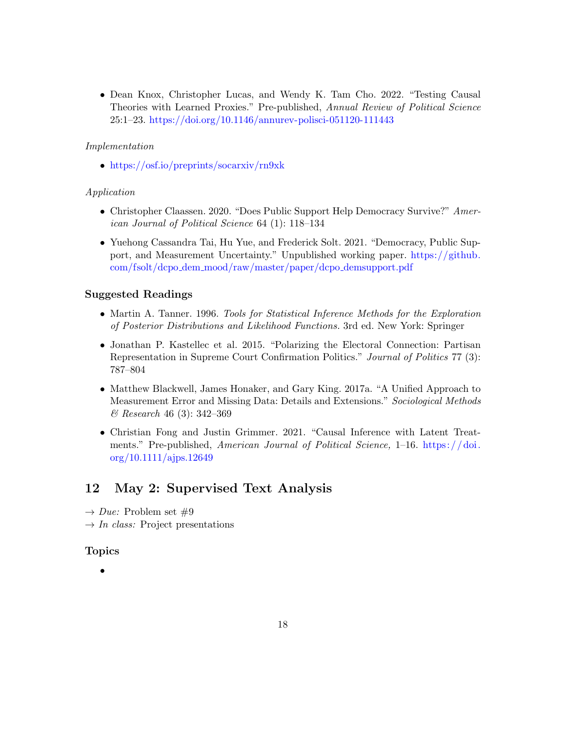• Dean Knox, Christopher Lucas, and Wendy K. Tam Cho. 2022. "Testing Causal Theories with Learned Proxies." Pre-published, Annual Review of Political Science 25:1–23. <https://doi.org/10.1146/annurev-polisci-051120-111443>

#### Implementation

• <https://osf.io/preprints/socarxiv/rn9xk>

#### Application

- Christopher Claassen. 2020. "Does Public Support Help Democracy Survive?" American Journal of Political Science 64 (1): 118–134
- Yuehong Cassandra Tai, Hu Yue, and Frederick Solt. 2021. "Democracy, Public Support, and Measurement Uncertainty." Unpublished working paper. [https://github.](https://github.com/fsolt/dcpo_dem_mood/raw/master/paper/dcpo_demsupport.pdf) com/fsolt/dcpo dem [mood/raw/master/paper/dcpo](https://github.com/fsolt/dcpo_dem_mood/raw/master/paper/dcpo_demsupport.pdf) demsupport.pdf

#### Suggested Readings

- Martin A. Tanner. 1996. Tools for Statistical Inference Methods for the Exploration of Posterior Distributions and Likelihood Functions. 3rd ed. New York: Springer
- Jonathan P. Kastellec et al. 2015. "Polarizing the Electoral Connection: Partisan Representation in Supreme Court Confirmation Politics." Journal of Politics 77 (3): 787–804
- Matthew Blackwell, James Honaker, and Gary King. 2017a. "A Unified Approach to Measurement Error and Missing Data: Details and Extensions." Sociological Methods & Research 46 (3): 342–369
- Christian Fong and Justin Grimmer. 2021. "Causal Inference with Latent Treatments." Pre-published, American Journal of Political Science, 1–16. https://doi. [org/10.1111/ajps.12649](https://doi.org/10.1111/ajps.12649)

### <span id="page-17-0"></span>12 May 2: Supervised Text Analysis

- <span id="page-17-1"></span> $\rightarrow Due: Problem set \#9$
- $\rightarrow In \; class:$  Project presentations

#### Topics

•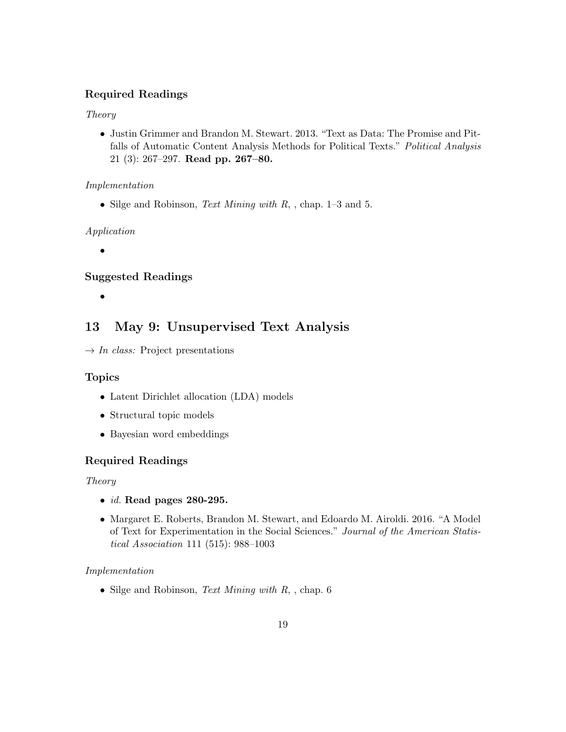### Required Readings

#### Theory

<span id="page-18-2"></span>• Justin Grimmer and Brandon M. Stewart. 2013. "Text as Data: The Promise and Pitfalls of Automatic Content Analysis Methods for Political Texts." Political Analysis 21 (3): 267–297. Read pp. 267–80.

#### Implementation

• Silge and Robinson, *Text Mining with R*, , chap.  $1-3$  and 5.

#### Application

•

### Suggested Readings

<span id="page-18-1"></span><span id="page-18-0"></span>•

# 13 May 9: Unsupervised Text Analysis

 $\rightarrow$  *In class:* Project presentations

#### Topics

- Latent Dirichlet allocation (LDA) models
- Structural topic models
- Bayesian word embeddings

### Required Readings

#### Theory

- $\bullet$  *[id.](#page-18-2)* Read pages 280-295.
- Margaret E. Roberts, Brandon M. Stewart, and Edoardo M. Airoldi. 2016. "A Model of Text for Experimentation in the Social Sciences." Journal of the American Statistical Association 111 (515): 988–1003

#### Implementation

• Silge and Robinson, *Text Mining with R*, , chap.  $6$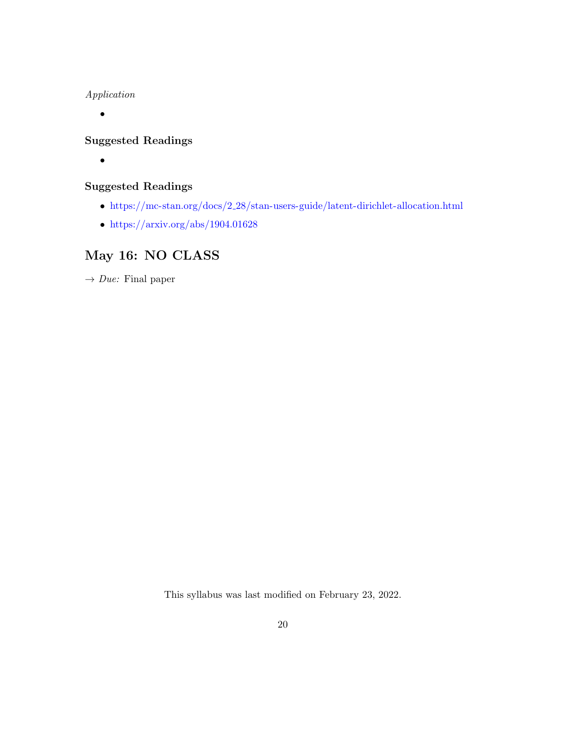Application

•

# Suggested Readings

•

# Suggested Readings

- $\bullet~$ https://mc-stan.org/docs/2<br/>\_[28/stan-users-guide/latent-dirichlet-allocation.html](https://mc-stan.org/docs/2_28/stan-users-guide/latent-dirichlet-allocation.html)
- <https://arxiv.org/abs/1904.01628>

# May 16: NO CLASS

<span id="page-19-0"></span> $\rightarrow$  *Due:* Final paper

This syllabus was last modified on February 23, 2022.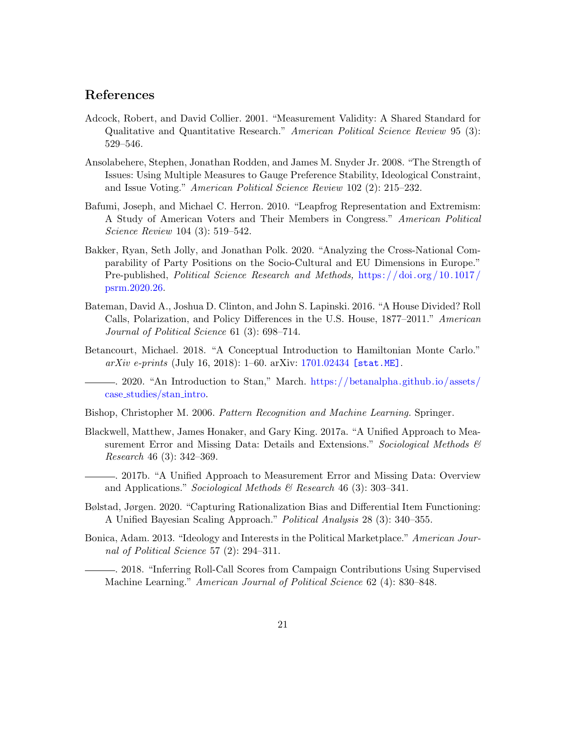### References

- Adcock, Robert, and David Collier. 2001. "Measurement Validity: A Shared Standard for Qualitative and Quantitative Research." American Political Science Review 95 (3): 529–546.
- Ansolabehere, Stephen, Jonathan Rodden, and James M. Snyder Jr. 2008. "The Strength of Issues: Using Multiple Measures to Gauge Preference Stability, Ideological Constraint, and Issue Voting." American Political Science Review 102 (2): 215–232.
- Bafumi, Joseph, and Michael C. Herron. 2010. "Leapfrog Representation and Extremism: A Study of American Voters and Their Members in Congress." American Political Science Review 104 (3): 519–542.
- Bakker, Ryan, Seth Jolly, and Jonathan Polk. 2020. "Analyzing the Cross-National Comparability of Party Positions on the Socio-Cultural and EU Dimensions in Europe." Pre-published, Political Science Research and Methods, [https: / / doi. org / 10. 1017 /](https://doi.org/10.1017/psrm.2020.26) [psrm.2020.26.](https://doi.org/10.1017/psrm.2020.26)
- Bateman, David A., Joshua D. Clinton, and John S. Lapinski. 2016. "A House Divided? Roll Calls, Polarization, and Policy Differences in the U.S. House, 1877–2011." American Journal of Political Science 61 (3): 698–714.
- Betancourt, Michael. 2018. "A Conceptual Introduction to Hamiltonian Monte Carlo."  $arXiv \text{ } e\text{-}prints \text{ (July 16, 2018): } 1-60. \text{ } arXiv: 1701.02434 \text{ [stat.ME]}.$  $arXiv \text{ } e\text{-}prints \text{ (July 16, 2018): } 1-60. \text{ } arXiv: 1701.02434 \text{ [stat.ME]}.$  $arXiv \text{ } e\text{-}prints \text{ (July 16, 2018): } 1-60. \text{ } arXiv: 1701.02434 \text{ [stat.ME]}.$ 
	- . 2020. "An Introduction to Stan," March. [https://betanalpha.github.io/assets/](https://betanalpha.github.io/assets/case_studies/stan_intro) case [studies/stan](https://betanalpha.github.io/assets/case_studies/stan_intro) intro.

Bishop, Christopher M. 2006. Pattern Recognition and Machine Learning. Springer.

- Blackwell, Matthew, James Honaker, and Gary King. 2017a. "A Unified Approach to Measurement Error and Missing Data: Details and Extensions." Sociological Methods & Research 46 (3): 342–369.
- . 2017b. "A Unified Approach to Measurement Error and Missing Data: Overview and Applications." Sociological Methods & Research 46 (3): 303-341.
- Bølstad, Jørgen. 2020. "Capturing Rationalization Bias and Differential Item Functioning: A Unified Bayesian Scaling Approach." Political Analysis 28 (3): 340–355.
- Bonica, Adam. 2013. "Ideology and Interests in the Political Marketplace." American Journal of Political Science 57 (2): 294–311.

. 2018. "Inferring Roll-Call Scores from Campaign Contributions Using Supervised Machine Learning." American Journal of Political Science 62 (4): 830–848.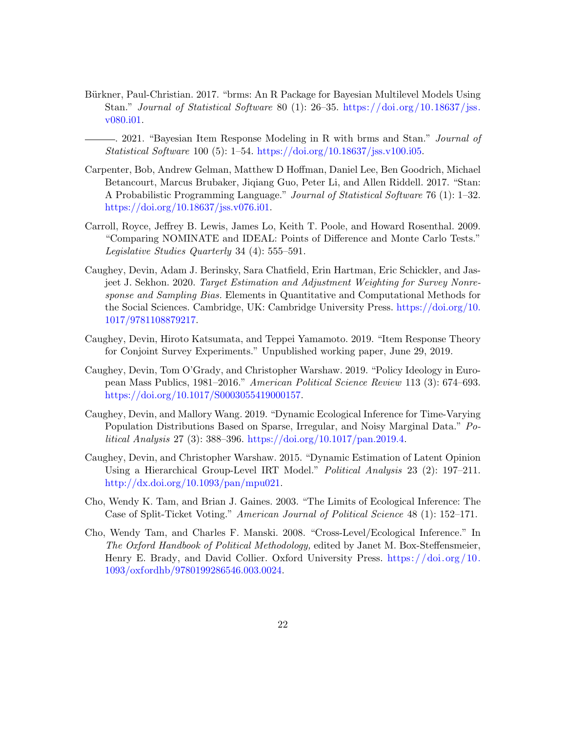- Bürkner, Paul-Christian. 2017. "brms: An R Package for Bayesian Multilevel Models Using Stan." Journal of Statistical Software 80 (1): 26–35. [https://doi.org/10.18637/jss.](https://doi.org/10.18637/jss.v080.i01) [v080.i01.](https://doi.org/10.18637/jss.v080.i01)
	- . 2021. "Bayesian Item Response Modeling in R with brms and Stan." Journal of Statistical Software 100 (5): 1–54. [https://doi.org/10.18637/jss.v100.i05.](https://doi.org/10.18637/jss.v100.i05)
- Carpenter, Bob, Andrew Gelman, Matthew D Hoffman, Daniel Lee, Ben Goodrich, Michael Betancourt, Marcus Brubaker, Jiqiang Guo, Peter Li, and Allen Riddell. 2017. "Stan: A Probabilistic Programming Language." Journal of Statistical Software 76 (1): 1–32. [https://doi.org/10.18637/jss.v076.i01.](https://doi.org/10.18637/jss.v076.i01)
- Carroll, Royce, Jeffrey B. Lewis, James Lo, Keith T. Poole, and Howard Rosenthal. 2009. "Comparing NOMINATE and IDEAL: Points of Difference and Monte Carlo Tests." Legislative Studies Quarterly 34 (4): 555–591.
- Caughey, Devin, Adam J. Berinsky, Sara Chatfield, Erin Hartman, Eric Schickler, and Jasjeet J. Sekhon. 2020. Target Estimation and Adjustment Weighting for Survey Nonresponse and Sampling Bias. Elements in Quantitative and Computational Methods for the Social Sciences. Cambridge, UK: Cambridge University Press. [https://doi.org/10.](https://doi.org/10.1017/9781108879217) [1017/9781108879217.](https://doi.org/10.1017/9781108879217)
- Caughey, Devin, Hiroto Katsumata, and Teppei Yamamoto. 2019. "Item Response Theory for Conjoint Survey Experiments." Unpublished working paper, June 29, 2019.
- Caughey, Devin, Tom O'Grady, and Christopher Warshaw. 2019. "Policy Ideology in European Mass Publics, 1981–2016." American Political Science Review 113 (3): 674–693. [https://doi.org/10.1017/S0003055419000157.](https://doi.org/10.1017/S0003055419000157)
- Caughey, Devin, and Mallory Wang. 2019. "Dynamic Ecological Inference for Time-Varying Population Distributions Based on Sparse, Irregular, and Noisy Marginal Data." Political Analysis 27 (3): 388–396. [https://doi.org/10.1017/pan.2019.4.](https://doi.org/10.1017/pan.2019.4)
- Caughey, Devin, and Christopher Warshaw. 2015. "Dynamic Estimation of Latent Opinion Using a Hierarchical Group-Level IRT Model." Political Analysis 23 (2): 197–211. [http://dx.doi.org/10.1093/pan/mpu021.](http://dx.doi.org/10.1093/pan/mpu021)
- Cho, Wendy K. Tam, and Brian J. Gaines. 2003. "The Limits of Ecological Inference: The Case of Split-Ticket Voting." American Journal of Political Science 48 (1): 152–171.
- Cho, Wendy Tam, and Charles F. Manski. 2008. "Cross-Level/Ecological Inference." In The Oxford Handbook of Political Methodology, edited by Janet M. Box-Steffensmeier, Henry E. Brady, and David Collier. Oxford University Press. https://doi.org/10. [1093/oxfordhb/9780199286546.003.0024.](https://doi.org/10.1093/oxfordhb/9780199286546.003.0024)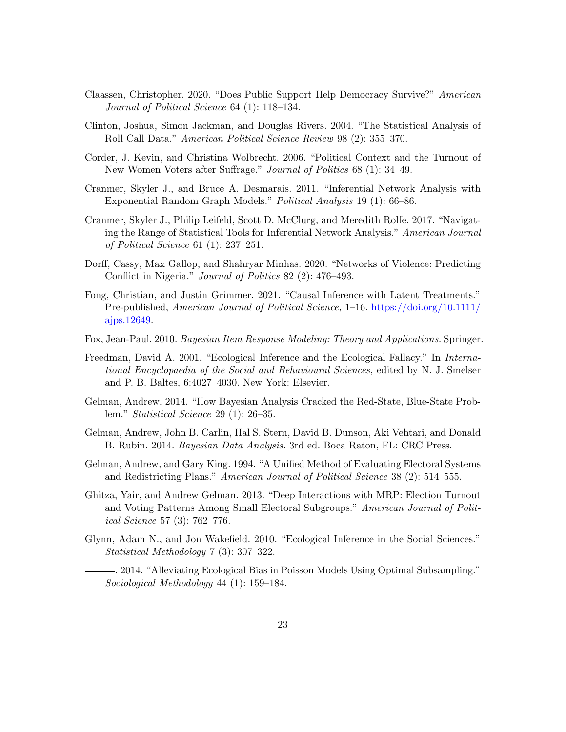- Claassen, Christopher. 2020. "Does Public Support Help Democracy Survive?" American Journal of Political Science 64 (1): 118–134.
- Clinton, Joshua, Simon Jackman, and Douglas Rivers. 2004. "The Statistical Analysis of Roll Call Data." American Political Science Review 98 (2): 355–370.
- Corder, J. Kevin, and Christina Wolbrecht. 2006. "Political Context and the Turnout of New Women Voters after Suffrage." Journal of Politics 68 (1): 34–49.
- Cranmer, Skyler J., and Bruce A. Desmarais. 2011. "Inferential Network Analysis with Exponential Random Graph Models." Political Analysis 19 (1): 66–86.
- Cranmer, Skyler J., Philip Leifeld, Scott D. McClurg, and Meredith Rolfe. 2017. "Navigating the Range of Statistical Tools for Inferential Network Analysis." American Journal of Political Science 61 (1): 237–251.
- Dorff, Cassy, Max Gallop, and Shahryar Minhas. 2020. "Networks of Violence: Predicting Conflict in Nigeria." Journal of Politics 82 (2): 476–493.
- Fong, Christian, and Justin Grimmer. 2021. "Causal Inference with Latent Treatments." Pre-published, American Journal of Political Science, 1–16. [https://doi.org/10.1111/](https://doi.org/10.1111/ajps.12649) [ajps.12649.](https://doi.org/10.1111/ajps.12649)
- Fox, Jean-Paul. 2010. Bayesian Item Response Modeling: Theory and Applications. Springer.
- Freedman, David A. 2001. "Ecological Inference and the Ecological Fallacy." In International Encyclopaedia of the Social and Behavioural Sciences, edited by N. J. Smelser and P. B. Baltes, 6:4027–4030. New York: Elsevier.
- Gelman, Andrew. 2014. "How Bayesian Analysis Cracked the Red-State, Blue-State Problem." Statistical Science 29 (1): 26–35.
- Gelman, Andrew, John B. Carlin, Hal S. Stern, David B. Dunson, Aki Vehtari, and Donald B. Rubin. 2014. Bayesian Data Analysis. 3rd ed. Boca Raton, FL: CRC Press.
- Gelman, Andrew, and Gary King. 1994. "A Unified Method of Evaluating Electoral Systems and Redistricting Plans." American Journal of Political Science 38 (2): 514–555.
- Ghitza, Yair, and Andrew Gelman. 2013. "Deep Interactions with MRP: Election Turnout and Voting Patterns Among Small Electoral Subgroups." American Journal of Political Science 57 (3): 762–776.
- Glynn, Adam N., and Jon Wakefield. 2010. "Ecological Inference in the Social Sciences." Statistical Methodology 7 (3): 307–322.
	- . 2014. "Alleviating Ecological Bias in Poisson Models Using Optimal Subsampling." Sociological Methodology 44 (1): 159–184.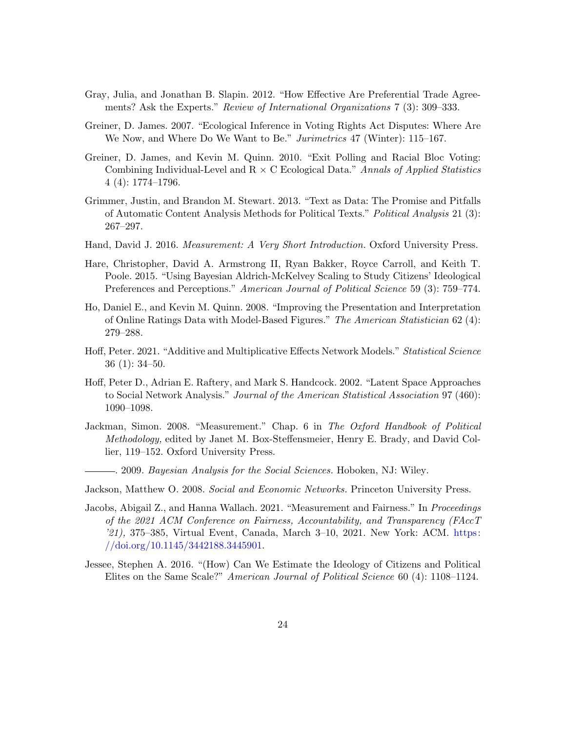- Gray, Julia, and Jonathan B. Slapin. 2012. "How Effective Are Preferential Trade Agreements? Ask the Experts." Review of International Organizations 7 (3): 309–333.
- Greiner, D. James. 2007. "Ecological Inference in Voting Rights Act Disputes: Where Are We Now, and Where Do We Want to Be." Jurimetrics 47 (Winter): 115–167.
- Greiner, D. James, and Kevin M. Quinn. 2010. "Exit Polling and Racial Bloc Voting: Combining Individual-Level and  $R \times C$  Ecological Data." Annals of Applied Statistics 4 (4): 1774–1796.
- Grimmer, Justin, and Brandon M. Stewart. 2013. "Text as Data: The Promise and Pitfalls of Automatic Content Analysis Methods for Political Texts." Political Analysis 21 (3): 267–297.
- Hand, David J. 2016. Measurement: A Very Short Introduction. Oxford University Press.
- Hare, Christopher, David A. Armstrong II, Ryan Bakker, Royce Carroll, and Keith T. Poole. 2015. "Using Bayesian Aldrich-McKelvey Scaling to Study Citizens' Ideological Preferences and Perceptions." American Journal of Political Science 59 (3): 759–774.
- Ho, Daniel E., and Kevin M. Quinn. 2008. "Improving the Presentation and Interpretation of Online Ratings Data with Model-Based Figures." The American Statistician 62 (4): 279–288.
- Hoff, Peter. 2021. "Additive and Multiplicative Effects Network Models." Statistical Science 36 (1): 34–50.
- Hoff, Peter D., Adrian E. Raftery, and Mark S. Handcock. 2002. "Latent Space Approaches to Social Network Analysis." Journal of the American Statistical Association 97 (460): 1090–1098.
- Jackman, Simon. 2008. "Measurement." Chap. 6 in The Oxford Handbook of Political Methodology, edited by Janet M. Box-Steffensmeier, Henry E. Brady, and David Collier, 119–152. Oxford University Press.
	- . 2009. Bayesian Analysis for the Social Sciences. Hoboken, NJ: Wiley.
- Jackson, Matthew O. 2008. Social and Economic Networks. Princeton University Press.
- Jacobs, Abigail Z., and Hanna Wallach. 2021. "Measurement and Fairness." In Proceedings of the 2021 ACM Conference on Fairness, Accountability, and Transparency (FAccT '21), 375–385, Virtual Event, Canada, March 3–10, 2021. New York: ACM. [https:](https://doi.org/10.1145/3442188.3445901) [//doi.org/10.1145/3442188.3445901.](https://doi.org/10.1145/3442188.3445901)
- Jessee, Stephen A. 2016. "(How) Can We Estimate the Ideology of Citizens and Political Elites on the Same Scale?" American Journal of Political Science 60 (4): 1108–1124.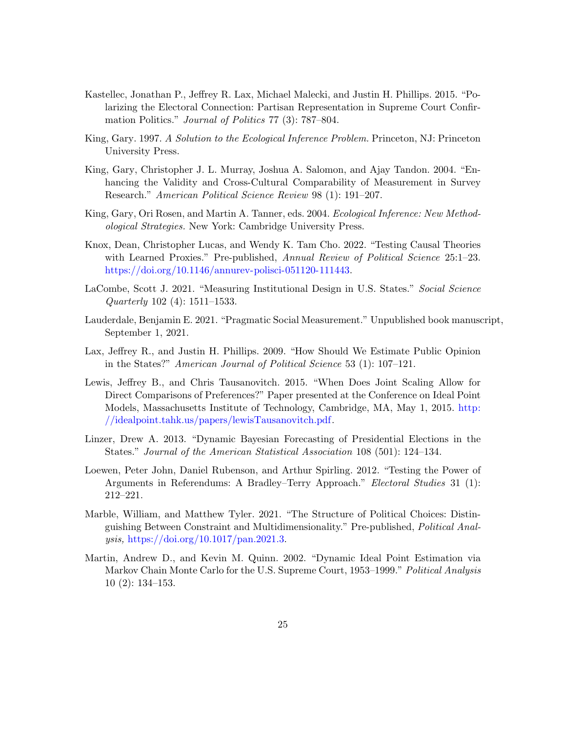- Kastellec, Jonathan P., Jeffrey R. Lax, Michael Malecki, and Justin H. Phillips. 2015. "Polarizing the Electoral Connection: Partisan Representation in Supreme Court Confirmation Politics." Journal of Politics 77 (3): 787–804.
- King, Gary. 1997. A Solution to the Ecological Inference Problem. Princeton, NJ: Princeton University Press.
- King, Gary, Christopher J. L. Murray, Joshua A. Salomon, and Ajay Tandon. 2004. "Enhancing the Validity and Cross-Cultural Comparability of Measurement in Survey Research." American Political Science Review 98 (1): 191–207.
- King, Gary, Ori Rosen, and Martin A. Tanner, eds. 2004. Ecological Inference: New Methodological Strategies. New York: Cambridge University Press.
- Knox, Dean, Christopher Lucas, and Wendy K. Tam Cho. 2022. "Testing Causal Theories with Learned Proxies." Pre-published, Annual Review of Political Science 25:1–23. [https://doi.org/10.1146/annurev-polisci-051120-111443.](https://doi.org/10.1146/annurev-polisci-051120-111443)
- LaCombe, Scott J. 2021. "Measuring Institutional Design in U.S. States." Social Science Quarterly 102 (4): 1511–1533.
- Lauderdale, Benjamin E. 2021. "Pragmatic Social Measurement." Unpublished book manuscript, September 1, 2021.
- Lax, Jeffrey R., and Justin H. Phillips. 2009. "How Should We Estimate Public Opinion in the States?" American Journal of Political Science 53 (1): 107–121.
- Lewis, Jeffrey B., and Chris Tausanovitch. 2015. "When Does Joint Scaling Allow for Direct Comparisons of Preferences?" Paper presented at the Conference on Ideal Point Models, Massachusetts Institute of Technology, Cambridge, MA, May 1, 2015. [http:](http://idealpoint.tahk.us/papers/lewisTausanovitch.pdf) [//idealpoint.tahk.us/papers/lewisTausanovitch.pdf.](http://idealpoint.tahk.us/papers/lewisTausanovitch.pdf)
- Linzer, Drew A. 2013. "Dynamic Bayesian Forecasting of Presidential Elections in the States." Journal of the American Statistical Association 108 (501): 124–134.
- Loewen, Peter John, Daniel Rubenson, and Arthur Spirling. 2012. "Testing the Power of Arguments in Referendums: A Bradley–Terry Approach." Electoral Studies 31 (1): 212–221.
- Marble, William, and Matthew Tyler. 2021. "The Structure of Political Choices: Distinguishing Between Constraint and Multidimensionality." Pre-published, Political Analysis, [https://doi.org/10.1017/pan.2021.3.](https://doi.org/10.1017/pan.2021.3)
- Martin, Andrew D., and Kevin M. Quinn. 2002. "Dynamic Ideal Point Estimation via Markov Chain Monte Carlo for the U.S. Supreme Court, 1953–1999." Political Analysis 10 (2): 134–153.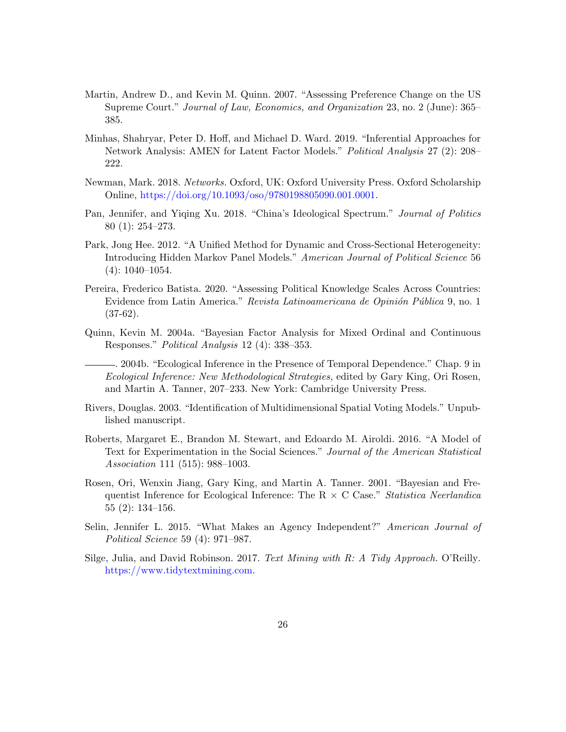- Martin, Andrew D., and Kevin M. Quinn. 2007. "Assessing Preference Change on the US Supreme Court." Journal of Law, Economics, and Organization 23, no. 2 (June): 365– 385.
- Minhas, Shahryar, Peter D. Hoff, and Michael D. Ward. 2019. "Inferential Approaches for Network Analysis: AMEN for Latent Factor Models." Political Analysis 27 (2): 208– 222.
- Newman, Mark. 2018. Networks. Oxford, UK: Oxford University Press. Oxford Scholarship Online, [https://doi.org/10.1093/oso/9780198805090.001.0001.](https://doi.org/10.1093/oso/9780198805090.001.0001)
- Pan, Jennifer, and Yiqing Xu. 2018. "China's Ideological Spectrum." Journal of Politics 80 (1): 254–273.
- Park, Jong Hee. 2012. "A Unified Method for Dynamic and Cross-Sectional Heterogeneity: Introducing Hidden Markov Panel Models." American Journal of Political Science 56 (4): 1040–1054.
- Pereira, Frederico Batista. 2020. "Assessing Political Knowledge Scales Across Countries: Evidence from Latin America." Revista Latinoamericana de Opinión Pública 9, no. 1  $(37-62)$ .
- Quinn, Kevin M. 2004a. "Bayesian Factor Analysis for Mixed Ordinal and Continuous Responses." Political Analysis 12 (4): 338–353.
	- . 2004b. "Ecological Inference in the Presence of Temporal Dependence." Chap. 9 in Ecological Inference: New Methodological Strategies, edited by Gary King, Ori Rosen, and Martin A. Tanner, 207–233. New York: Cambridge University Press.
- Rivers, Douglas. 2003. "Identification of Multidimensional Spatial Voting Models." Unpublished manuscript.
- Roberts, Margaret E., Brandon M. Stewart, and Edoardo M. Airoldi. 2016. "A Model of Text for Experimentation in the Social Sciences." Journal of the American Statistical Association 111 (515): 988–1003.
- Rosen, Ori, Wenxin Jiang, Gary King, and Martin A. Tanner. 2001. "Bayesian and Frequentist Inference for Ecological Inference: The R  $\times$  C Case." Statistica Neerlandica 55 (2): 134–156.
- Selin, Jennifer L. 2015. "What Makes an Agency Independent?" American Journal of Political Science 59 (4): 971–987.
- Silge, Julia, and David Robinson. 2017. Text Mining with R: A Tidy Approach. O'Reilly. [https://www.tidytextmining.com.](https://www.tidytextmining.com)